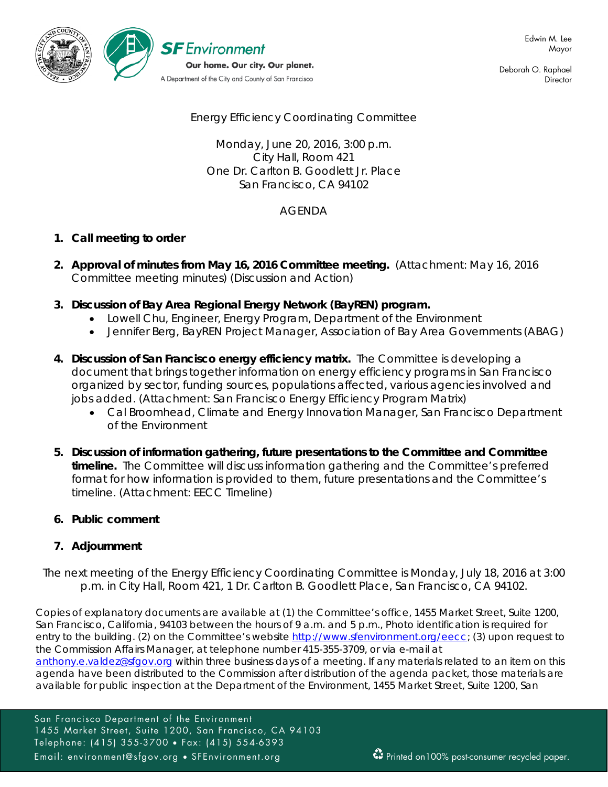

Deborah O. Raphael **Director** 

Energy Efficiency Coordinating Committee

Monday, June 20, 2016, 3:00 p.m. City Hall, Room 421 One Dr. Carlton B. Goodlett Jr. Place San Francisco, CA 94102

# AGENDA

# **1. Call meeting to order**

- **2. Approval of minutes from May 16, 2016 Committee meeting.** (Attachment: May 16, 2016 Committee meeting minutes) (Discussion and Action)
- **3. Discussion of Bay Area Regional Energy Network (BayREN) program.**
	- Lowell Chu, Engineer, Energy Program, Department of the Environment
	- Jennifer Berg, BayREN Project Manager, Association of Bay Area Governments (ABAG)
- **4. Discussion of San Francisco energy efficiency matrix.** The Committee is developing a document that brings together information on energy efficiency programs in San Francisco organized by sector, funding sources, populations affected, various agencies involved and jobs added. (Attachment: San Francisco Energy Efficiency Program Matrix)
	- Cal Broomhead, Climate and Energy Innovation Manager, San Francisco Department of the Environment
- **5. Discussion of information gathering, future presentations to the Committee and Committee timeline.** The Committee will discuss information gathering and the Committee's preferred format for how information is provided to them, future presentations and the Committee's timeline. (Attachment: EECC Timeline)
- **6. Public comment**

# **7. Adjournment**

*The next meeting of the Energy Efficiency Coordinating Committee is Monday, July 18, 2016 at 3:00 p.m. in City Hall, Room 421, 1 Dr. Carlton B. Goodlett Place, San Francisco, CA 94102.*

Copies of explanatory documents are available at (1) the Committee's office, 1455 Market Street, Suite 1200, San Francisco, California, 94103 between the hours of 9 a.m. and 5 p.m., Photo identification is required for entry to the building. (2) on the Committee's website http://www.sfenvironment.org/eecc; (3) upon request to the Commission Affairs Manager, at telephone number 415-355-3709, or via e-mail at

[anthony.e.valdez@sfgov.org](mailto:anthony.e.valdez@sfgov.org) within three business days of a meeting. If any materials related to an item on this agenda have been distributed to the Commission after distribution of the agenda packet, those materials are available for public inspection at the Department of the Environment, 1455 Market Street, Suite 1200, San

San Francisco Department of the Environment 1455 Market Street, Suite 1200, San Francisco, CA 94103 Telephone: (415) 355-3700 • Fax: (415) 554-6393 Email: environment@sfgov.org • SFEnvironment.org Printed on100% post-consumer recycled paper.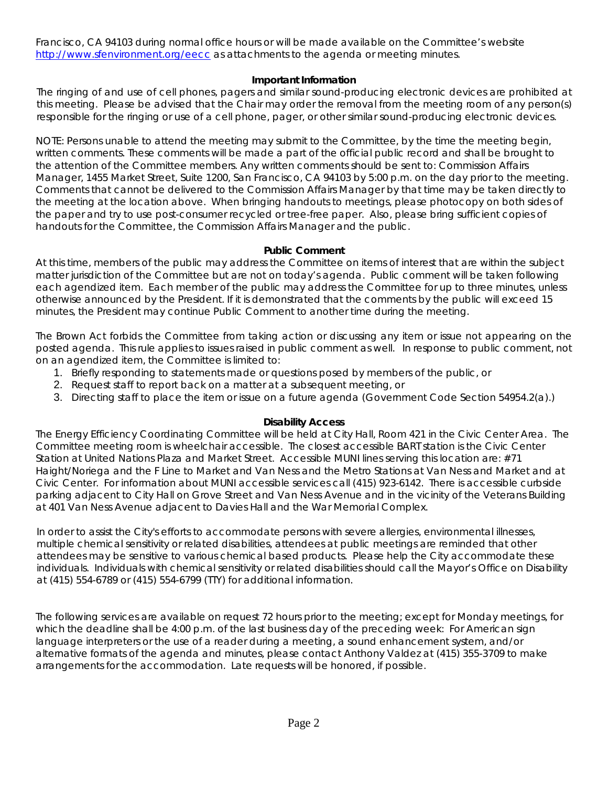Francisco, CA 94103 during normal office hours or will be made available on the Committee's website <http://www.sfenvironment.org/eecc> as attachments to the agenda or meeting minutes.

### **Important Information**

The ringing of and use of cell phones, pagers and similar sound-producing electronic devices are prohibited at this meeting. Please be advised that the Chair may order the removal from the meeting room of any person(s) responsible for the ringing or use of a cell phone, pager, or other similar sound-producing electronic devices.

NOTE: Persons unable to attend the meeting may submit to the Committee, by the time the meeting begin, written comments. These comments will be made a part of the official public record and shall be brought to the attention of the Committee members. Any written comments should be sent to: Commission Affairs Manager, 1455 Market Street, Suite 1200, San Francisco, CA 94103 by 5:00 p.m. on the day prior to the meeting. Comments that cannot be delivered to the Commission Affairs Manager by that time may be taken directly to the meeting at the location above. When bringing handouts to meetings, please photocopy on both sides of the paper and try to use post-consumer recycled or tree-free paper. Also, please bring sufficient copies of handouts for the Committee, the Commission Affairs Manager and the public.

#### **Public Comment**

At this time, members of the public may address the Committee on items of interest that are within the subject matter jurisdiction of the Committee but are not on today's agenda. Public comment will be taken following each agendized item. Each member of the public may address the Committee for up to three minutes, unless otherwise announced by the President. If it is demonstrated that the comments by the public will exceed 15 minutes, the President may continue Public Comment to another time during the meeting.

The Brown Act forbids the Committee from taking action or discussing any item or issue not appearing on the posted agenda. This rule applies to issues raised in public comment as well. In response to public comment, not on an agendized item, the Committee is limited to:

- 1. Briefly responding to statements made or questions posed by members of the public, or
- 2. Request staff to report back on a matter at a subsequent meeting, or
- 3. Directing staff to place the item or issue on a future agenda (Government Code Section 54954.2(a).)

## **Disability Access**

The Energy Efficiency Coordinating Committee will be held at City Hall, Room 421 in the Civic Center Area. The Committee meeting room is wheelchair accessible. The closest accessible BART station is the Civic Center Station at United Nations Plaza and Market Street. Accessible MUNI lines serving this location are: #71 Haight/Noriega and the F Line to Market and Van Ness and the Metro Stations at Van Ness and Market and at Civic Center. For information about MUNI accessible services call (415) 923-6142. There is accessible curbside parking adjacent to City Hall on Grove Street and Van Ness Avenue and in the vicinity of the Veterans Building at 401 Van Ness Avenue adjacent to Davies Hall and the War Memorial Complex.

In order to assist the City's efforts to accommodate persons with severe allergies, environmental illnesses, multiple chemical sensitivity or related disabilities, attendees at public meetings are reminded that other attendees may be sensitive to various chemical based products. Please help the City accommodate these individuals. Individuals with chemical sensitivity or related disabilities should call the Mayor's Office on Disability at (415) 554-6789 or (415) 554-6799 (TTY) for additional information.

The following services are available on request 72 hours prior to the meeting; except for Monday meetings, for which the deadline shall be 4:00 p.m. of the last business day of the preceding week: For American sign language interpreters or the use of a reader during a meeting, a sound enhancement system, and/or alternative formats of the agenda and minutes, please contact Anthony Valdez at (415) 355-3709 to make arrangements for the accommodation. Late requests will be honored, if possible.